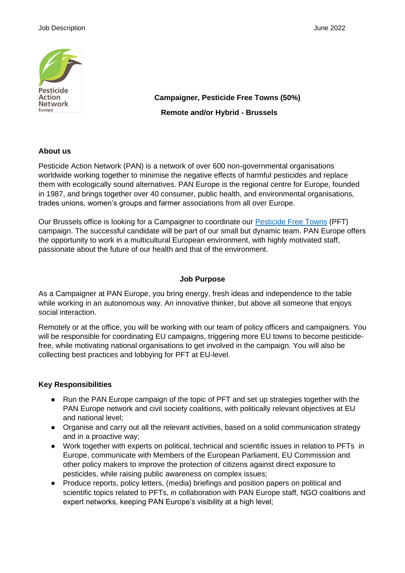

**Campaigner, Pesticide Free Towns (50%) Remote and/or Hybrid - Brussels**

### **About us**

Pesticide Action Network (PAN) is a network of over 600 non-governmental organisations worldwide working together to minimise the negative effects of harmful pesticides and replace them with ecologically sound alternatives. PAN Europe is the regional centre for Europe, founded in 1987, and brings together over 40 consumer, public health, and environmental organisations, trades unions, women's groups and farmer associations from all over Europe.

Our Brussels office is looking for a Campaigner to coordinate our [Pesticide Free Towns](https://www.pan-europe.info/campaigns/pesticide-free-towns) (PFT) campaign. The successful candidate will be part of our small but dynamic team. PAN Europe offers the opportunity to work in a multicultural European environment, with highly motivated staff, passionate about the future of our health and that of the environment.

### **Job Purpose**

As a Campaigner at PAN Europe, you bring energy, fresh ideas and independence to the table while working in an autonomous way. An innovative thinker, but above all someone that enjoys social interaction.

Remotely or at the office, you will be working with our team of policy officers and campaigners. You will be responsible for coordinating EU campaigns, triggering more EU towns to become pesticidefree, while motivating national organisations to get involved in the campaign. You will also be collecting best practices and lobbying for PFT at EU-level.

### **Key Responsibilities**

- Run the PAN Europe campaign of the topic of PFT and set up strategies together with the PAN Europe network and civil society coalitions, with politically relevant objectives at EU and national level;
- Organise and carry out all the relevant activities, based on a solid communication strategy and in a proactive way;
- Work together with experts on political, technical and scientific issues in relation to PFTs in Europe, communicate with Members of the European Parliament, EU Commission and other policy makers to improve the protection of citizens against direct exposure to pesticides, while raising public awareness on complex issues;
- Produce reports, policy letters, (media) briefings and position papers on political and scientific topics related to PFTs, in collaboration with PAN Europe staff, NGO coalitions and expert networks, keeping PAN Europe's visibility at a high level;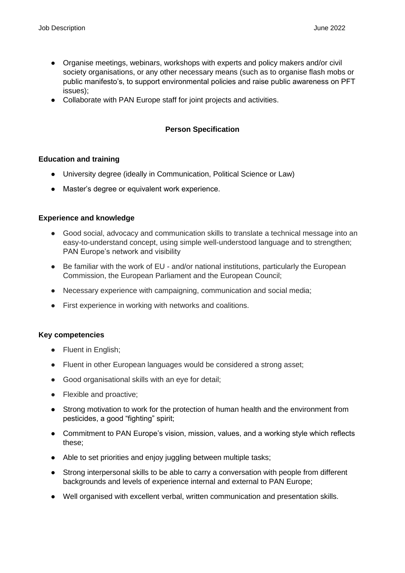- Organise meetings, webinars, workshops with experts and policy makers and/or civil society organisations, or any other necessary means (such as to organise flash mobs or public manifesto's, to support environmental policies and raise public awareness on PFT issues);
- Collaborate with PAN Europe staff for joint projects and activities.

# **Person Specification**

## **Education and training**

- University degree (ideally in Communication, Political Science or Law)
- Master's degree or equivalent work experience.

### **Experience and knowledge**

- Good social, advocacy and communication skills to translate a technical message into an easy-to-understand concept, using simple well-understood language and to strengthen; PAN Europe's network and visibility
- Be familiar with the work of EU and/or national institutions, particularly the European Commission, the European Parliament and the European Council;
- Necessary experience with campaigning, communication and social media;
- First experience in working with networks and coalitions.

### **Key competencies**

- Fluent in English;
- Fluent in other European languages would be considered a strong asset;
- Good organisational skills with an eye for detail;
- Flexible and proactive;
- Strong motivation to work for the protection of human health and the environment from pesticides, a good "fighting" spirit;
- Commitment to PAN Europe's vision, mission, values, and a working style which reflects these;
- Able to set priorities and enjoy juggling between multiple tasks;
- Strong interpersonal skills to be able to carry a conversation with people from different backgrounds and levels of experience internal and external to PAN Europe;
- Well organised with excellent verbal, written communication and presentation skills.